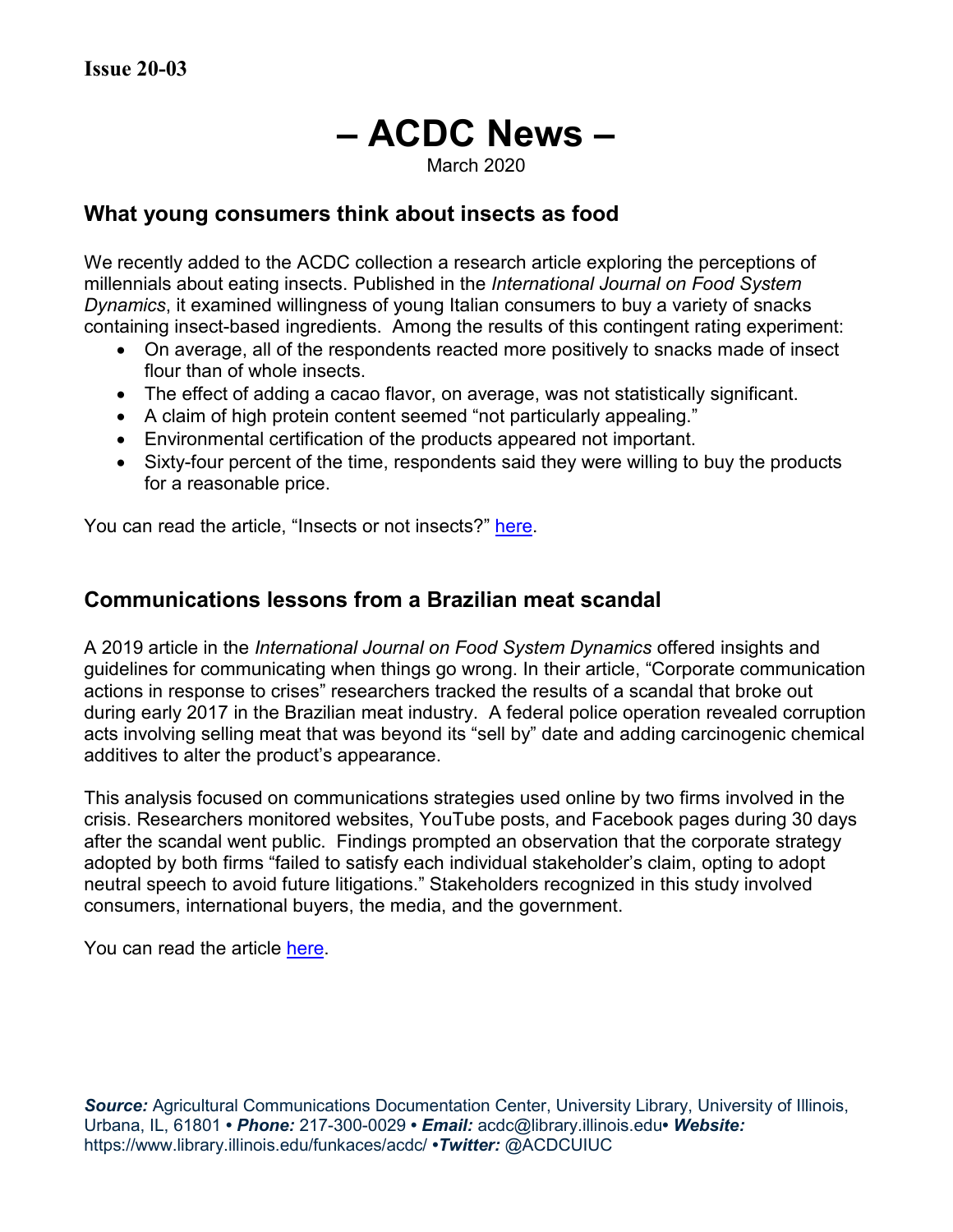# **– ACDC News –**

March 2020

# **What young consumers think about insects as food**

We recently added to the ACDC collection a research article exploring the perceptions of millennials about eating insects. Published in the *International Journal on Food System Dynamics*, it examined willingness of young Italian consumers to buy a variety of snacks containing insect-based ingredients. Among the results of this contingent rating experiment:

- On average, all of the respondents reacted more positively to snacks made of insect flour than of whole insects.
- The effect of adding a cacao flavor, on average, was not statistically significant.
- A claim of high protein content seemed "not particularly appealing."
- Environmental certification of the products appeared not important.
- Sixty-four percent of the time, respondents said they were willing to buy the products for a reasonable price.

You can read the article, "Insects or not insects?" [here.](https://doi.org/10.18461/ijfsd.v9i3.932)

## **Communications lessons from a Brazilian meat scandal**

A 2019 article in the *International Journal on Food System Dynamics* offered insights and guidelines for communicating when things go wrong. In their article, "Corporate communication actions in response to crises" researchers tracked the results of a scandal that broke out during early 2017 in the Brazilian meat industry. A federal police operation revealed corruption acts involving selling meat that was beyond its "sell by" date and adding carcinogenic chemical additives to alter the product's appearance.

This analysis focused on communications strategies used online by two firms involved in the crisis. Researchers monitored websites, YouTube posts, and Facebook pages during 30 days after the scandal went public. Findings prompted an observation that the corporate strategy adopted by both firms "failed to satisfy each individual stakeholder's claim, opting to adopt neutral speech to avoid future litigations." Stakeholders recognized in this study involved consumers, international buyers, the media, and the government.

You can read the article [here.](https://doi.org/10.18461/ijfsd.v10i5.30)

*Source:* Agricultural Communications Documentation Center, University Library, University of Illinois, Urbana, IL, 61801 **•** *Phone:* 217-300-0029 **•** *Email:* acdc@library.illinois.edu**•** *Website:* https://www.library.illinois.edu/funkaces/acdc/ **•***Twitter:* @ACDCUIUC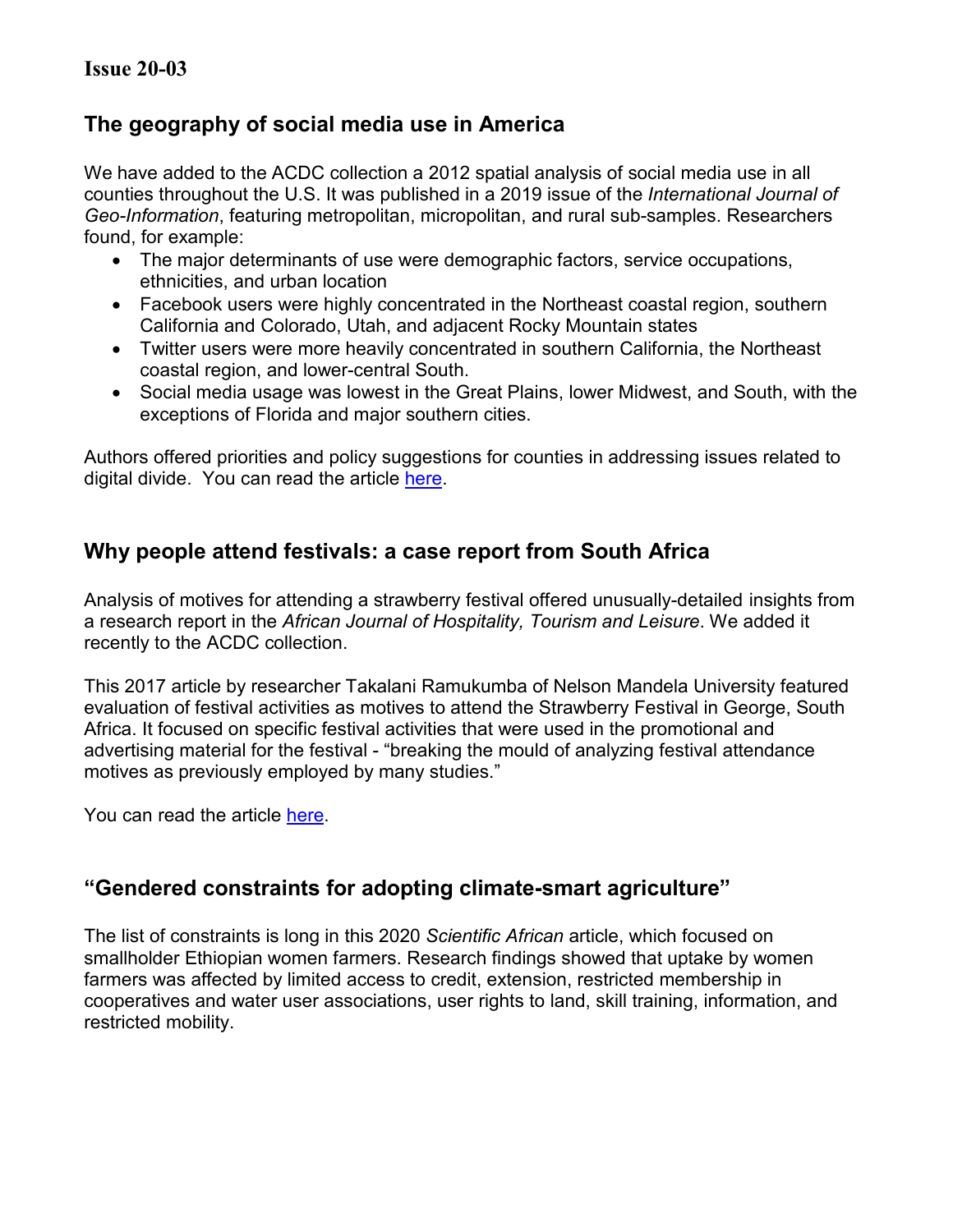# **The geography of social media use in America**

We have added to the ACDC collection a 2012 spatial analysis of social media use in all counties throughout the U.S. It was published in a 2019 issue of the *International Journal of Geo-Information*, featuring metropolitan, micropolitan, and rural sub-samples. Researchers found, for example:

- The major determinants of use were demographic factors, service occupations, ethnicities, and urban location
- Facebook users were highly concentrated in the Northeast coastal region, southern California and Colorado, Utah, and adjacent Rocky Mountain states
- Twitter users were more heavily concentrated in southern California, the Northeast coastal region, and lower-central South.
- Social media usage was lowest in the Great Plains, lower Midwest, and South, with the exceptions of Florida and major southern cities.

Authors offered priorities and policy suggestions for counties in addressing issues related to digital divide. You can read the article [here.](https://doi.org/10.3390/ijgi8090424)

# **Why people attend festivals: a case report from South Africa**

Analysis of motives for attending a strawberry festival offered unusually-detailed insights from a research report in the *African Journal of Hospitality, Tourism and Leisure*. We added it recently to the ACDC collection.

This 2017 article by researcher Takalani Ramukumba of Nelson Mandela University featured evaluation of festival activities as motives to attend the Strawberry Festival in George, South Africa. It focused on specific festival activities that were used in the promotional and advertising material for the festival - "breaking the mould of analyzing festival attendance motives as previously employed by many studies."

You can read the article [here.](https://doaj.org/article/3aa7d9039a2b4e37b2a111c8553481d4)

# **"Gendered constraints for adopting climate-smart agriculture"**

The list of constraints is long in this 2020 *Scientific African* article, which focused on smallholder Ethiopian women farmers. Research findings showed that uptake by women farmers was affected by limited access to credit, extension, restricted membership in cooperatives and water user associations, user rights to land, skill training, information, and restricted mobility.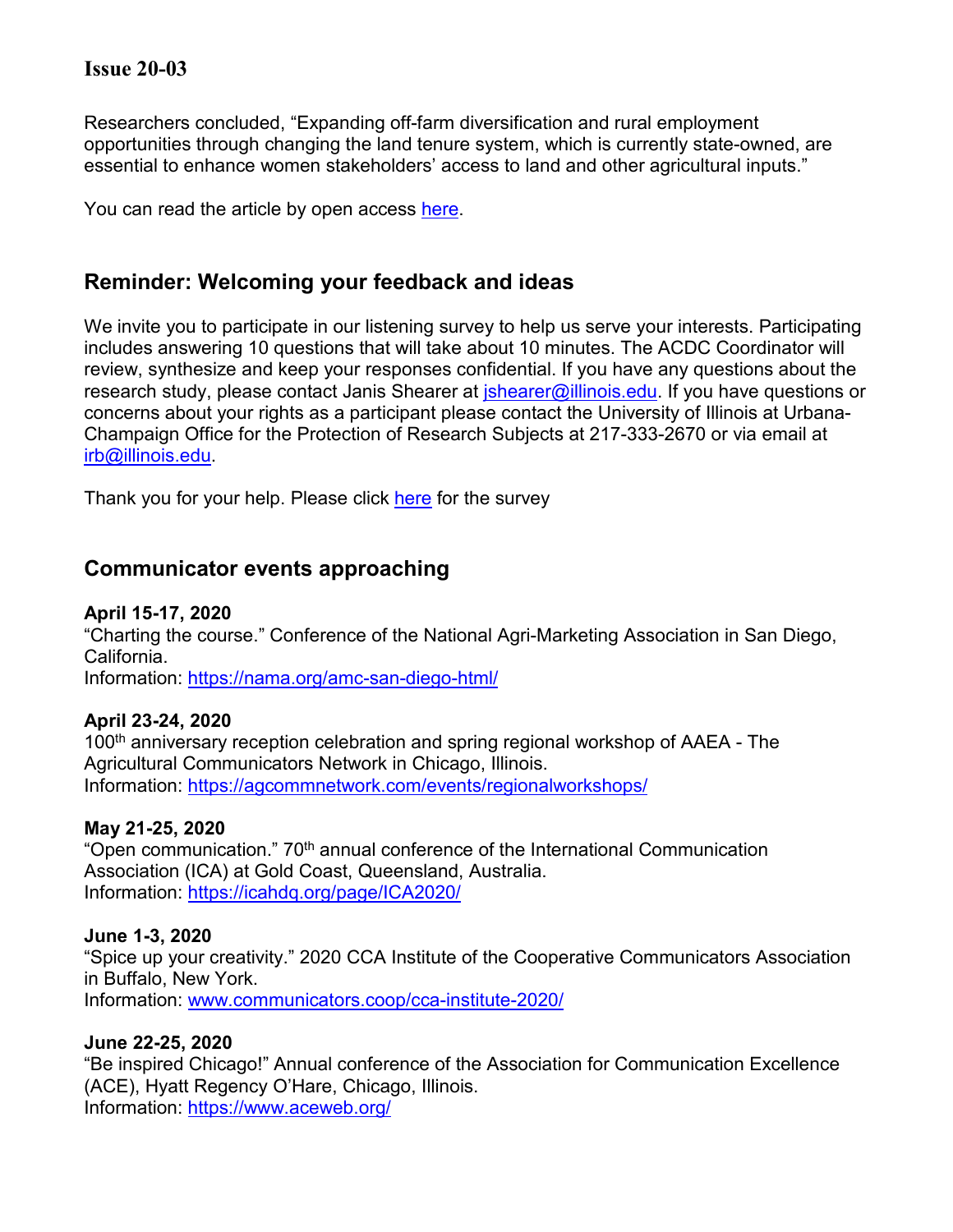## **Issue 20-03**

Researchers concluded, "Expanding off-farm diversification and rural employment opportunities through changing the land tenure system, which is currently state-owned, are essential to enhance women stakeholders' access to land and other agricultural inputs."

You can read the article by open access [here.](https://doi.org/10.1016/j.sciaf.2019.e00250)

# **Reminder: Welcoming your feedback and ideas**

We invite you to participate in our listening survey to help us serve your interests. Participating includes answering 10 questions that will take about 10 minutes. The ACDC Coordinator will review, synthesize and keep your responses confidential. If you have any questions about the research study, please contact Janis Shearer at *ishearer@illinois.edu*. If you have questions or concerns about your rights as a participant please contact the University of Illinois at Urbana-Champaign Office for the Protection of Research Subjects at 217-333-2670 or via email at [irb@illinois.edu.](mailto:irb@illinois.edu)

Thank you for your help. Please click [here](https://surveys.illinois.edu/sec/940597) for the survey

## **Communicator events approaching**

#### **April 15-17, 2020**

"Charting the course." Conference of the National Agri-Marketing Association in San Diego, California.

Information:<https://nama.org/amc-san-diego-html/>

#### **April 23-24, 2020**

100<sup>th</sup> anniversary reception celebration and spring regional workshop of AAEA - The Agricultural Communicators Network in Chicago, Illinois. Information:<https://agcommnetwork.com/events/regionalworkshops/>

#### **May 21-25, 2020**

"Open communication." 70<sup>th</sup> annual conference of the International Communication Association (ICA) at Gold Coast, Queensland, Australia. Information:<https://icahdq.org/page/ICA2020/>

#### **June 1-3, 2020**

"Spice up your creativity." 2020 CCA Institute of the Cooperative Communicators Association in Buffalo, New York. Information: [www.communicators.coop/cca-institute-2020/](http://www.communicators.coop/cca-institute-2020)

#### **June 22-25, 2020**

"Be inspired Chicago!" Annual conference of the Association for Communication Excellence (ACE), Hyatt Regency O'Hare, Chicago, Illinois. Information:<https://www.aceweb.org/>